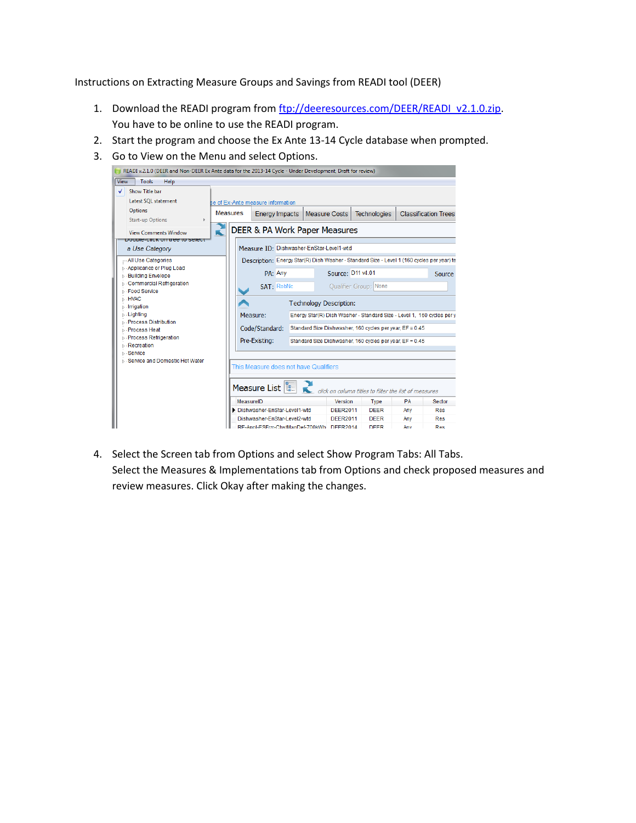Instructions on Extracting Measure Groups and Savings from READI tool (DEER)

- 1. Download the READI program from [ftp://deeresources.com/DEER/READI\\_v2.1.0.zip.](ftp://deeresources.com/DEER/READI_v2.1.0.zip) You have to be online to use the READI program.
- 2. Start the program and choose the Ex Ante 13-14 Cycle database when prompted.
- 3. Go to View on the Menu and select Options.



4. Select the Screen tab from Options and select Show Program Tabs: All Tabs. Select the Measures & Implementations tab from Options and check proposed measures and review measures. Click Okay after making the changes.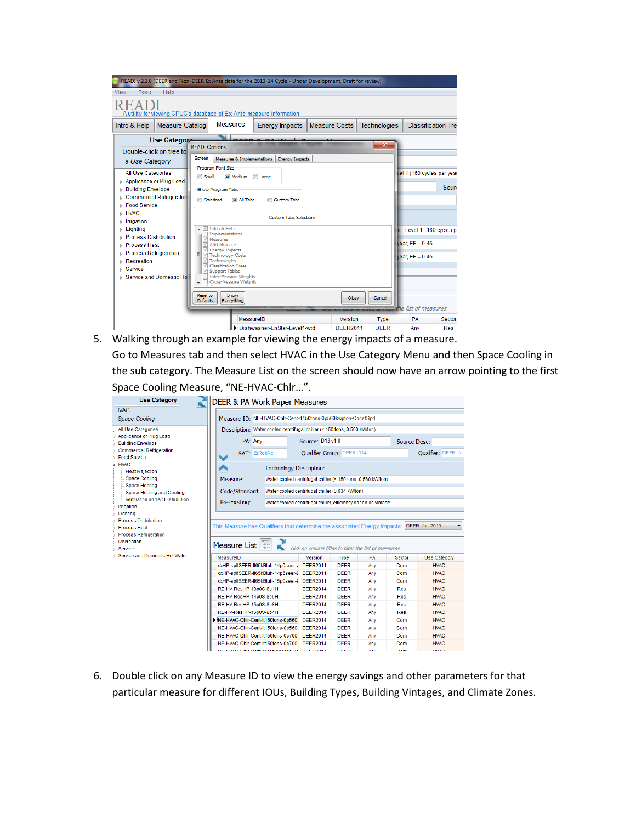| View<br>Tools<br>Help<br>A utility for viewing CPUC's database of Ex-Ante measure information<br><b>Measures</b><br>Intro & Help<br><b>Classification Tre</b><br><b>Measure Catalog</b><br><b>Energy Impacts</b><br><b>Measure Costs</b><br><b>Technologies</b><br>Use Categop<br>$-\mathbf{x}$<br><b>READI Options</b><br>Double-click on tree to<br>Screen<br>Measures & Implementations<br><b>Energy Impacts</b><br>a Use Category<br>Program Font Size<br>vel 1 (160 cycles per year<br>All Use Categories<br>Small<br>O Medium<br>C Large<br>⊳ Applicance or Plug Load<br><b>Building Envelope</b><br>Show Program Tabs<br><b>D</b> Commercial Refrigeration<br><b>Standard</b><br>a All Tabs<br><b>Custom Tabs</b><br><b>S</b> Food Service<br><b>D</b> · HVAC<br><b>Custom Tabs Selection:</b><br>$\triangleright$ Irrigation<br>Intro & Help<br><b>D</b> Lighting<br>e - Level 1, 160 cycles p<br>Implementations<br><b>D</b> - Process Distribution<br>Measures<br>vear, $EF = 0.45$<br>Add Measure<br><b>D</b> Process Heat<br><b>Energy Impacts</b><br><b>D</b> - Process Refrigeration<br>Ξ<br><b>√</b> Technology Costs<br>vear, $EF = 0.45$<br><b>√ Technologies</b><br><b>N</b> -Recreation<br><b>Classification Trees</b><br><b>Service</b><br>Support Tables<br>Inter-Measure Weights<br><b>N</b> - Service and Domestic Ho<br>Cross-Measure Weights<br>Show<br>Reset to<br>Okay<br>Cancel<br><b>Defaults</b><br>Everything<br>he list of measures<br>MeasurelD |  |  |  |  | READI v.2.1.0 (DEER and Non-DEER Ex Ante data for the 2013-14 Cycle - Under Development, Draft for review) |                |             |           |        |
|----------------------------------------------------------------------------------------------------------------------------------------------------------------------------------------------------------------------------------------------------------------------------------------------------------------------------------------------------------------------------------------------------------------------------------------------------------------------------------------------------------------------------------------------------------------------------------------------------------------------------------------------------------------------------------------------------------------------------------------------------------------------------------------------------------------------------------------------------------------------------------------------------------------------------------------------------------------------------------------------------------------------------------------------------------------------------------------------------------------------------------------------------------------------------------------------------------------------------------------------------------------------------------------------------------------------------------------------------------------------------------------------------------------------------------------------------------------------------------|--|--|--|--|------------------------------------------------------------------------------------------------------------|----------------|-------------|-----------|--------|
|                                                                                                                                                                                                                                                                                                                                                                                                                                                                                                                                                                                                                                                                                                                                                                                                                                                                                                                                                                                                                                                                                                                                                                                                                                                                                                                                                                                                                                                                                  |  |  |  |  |                                                                                                            |                |             |           |        |
|                                                                                                                                                                                                                                                                                                                                                                                                                                                                                                                                                                                                                                                                                                                                                                                                                                                                                                                                                                                                                                                                                                                                                                                                                                                                                                                                                                                                                                                                                  |  |  |  |  |                                                                                                            |                |             |           |        |
|                                                                                                                                                                                                                                                                                                                                                                                                                                                                                                                                                                                                                                                                                                                                                                                                                                                                                                                                                                                                                                                                                                                                                                                                                                                                                                                                                                                                                                                                                  |  |  |  |  |                                                                                                            |                |             |           |        |
| Souri                                                                                                                                                                                                                                                                                                                                                                                                                                                                                                                                                                                                                                                                                                                                                                                                                                                                                                                                                                                                                                                                                                                                                                                                                                                                                                                                                                                                                                                                            |  |  |  |  |                                                                                                            |                |             |           |        |
|                                                                                                                                                                                                                                                                                                                                                                                                                                                                                                                                                                                                                                                                                                                                                                                                                                                                                                                                                                                                                                                                                                                                                                                                                                                                                                                                                                                                                                                                                  |  |  |  |  |                                                                                                            |                |             |           |        |
|                                                                                                                                                                                                                                                                                                                                                                                                                                                                                                                                                                                                                                                                                                                                                                                                                                                                                                                                                                                                                                                                                                                                                                                                                                                                                                                                                                                                                                                                                  |  |  |  |  |                                                                                                            |                |             |           |        |
|                                                                                                                                                                                                                                                                                                                                                                                                                                                                                                                                                                                                                                                                                                                                                                                                                                                                                                                                                                                                                                                                                                                                                                                                                                                                                                                                                                                                                                                                                  |  |  |  |  |                                                                                                            |                |             |           |        |
| Dishwasher-EnStar-Level1-wtd<br><b>DEER2011</b><br><b>DEER</b><br><b>Res</b><br>Anv                                                                                                                                                                                                                                                                                                                                                                                                                                                                                                                                                                                                                                                                                                                                                                                                                                                                                                                                                                                                                                                                                                                                                                                                                                                                                                                                                                                              |  |  |  |  |                                                                                                            | <b>Version</b> | <b>Type</b> | <b>PA</b> | Sector |

5. Walking through an example for viewing the energy impacts of a measure. Go to Measures tab and then select HVAC in the Use Category Menu and then Space Cooling in the sub category. The Measure List on the screen should now have an arrow pointing to the first Space Cooling Measure, "NE-HVAC-Chlr…".

| <b>Use Category</b>                                         | <b>DEER &amp; PA Work Paper Measures</b>                                                  |                                                                                                                  |             |        |              |                     |  |  |
|-------------------------------------------------------------|-------------------------------------------------------------------------------------------|------------------------------------------------------------------------------------------------------------------|-------------|--------|--------------|---------------------|--|--|
| <b>HVAC</b>                                                 |                                                                                           |                                                                                                                  |             |        |              |                     |  |  |
| Space Cooling                                               | Measure ID: NE-HVAC-Chir-Cent-It150tons-0p560kwpton-ConstSpd                              |                                                                                                                  |             |        |              |                     |  |  |
| All Use Categories                                          | Description: Water cooled centrifugal chiller (< 150 tons, 0.560 kW/ton)                  |                                                                                                                  |             |        |              |                     |  |  |
| <b>D</b> - Applicance or Plug Load                          | PA: Any                                                                                   | Source: D13 v1.0                                                                                                 |             |        | Source Desc: |                     |  |  |
| <b>Building Envelope</b><br><b>Commercial Refrigeration</b> |                                                                                           |                                                                                                                  |             |        |              |                     |  |  |
| <b>Food Service</b>                                         | <b>SAT: ErRobNc</b>                                                                       | <b>Oualifier Group: DEER1314</b>                                                                                 |             |        |              | Qualifier: DEER_for |  |  |
| 4 HVAC                                                      |                                                                                           | <b>Technology Description:</b>                                                                                   |             |        |              |                     |  |  |
| <b>Heat Rejection</b><br><b>Space Cooling</b>               |                                                                                           |                                                                                                                  |             |        |              |                     |  |  |
| Space Heating                                               |                                                                                           | Measure:<br>Water cooled centrifugal chiller (< 150 tons, 0.560 kW/ton)                                          |             |        |              |                     |  |  |
| Space Heating and Cooling                                   | Code/Standard:                                                                            | Water cooled centrifugal chiller (0.634 kW/ton)<br>Water cooled centrifugal chiller, efficiency based on vintage |             |        |              |                     |  |  |
| Ventilation and Air Distribution                            | Pre-Existing:                                                                             |                                                                                                                  |             |        |              |                     |  |  |
| <b>Irrigation</b>                                           |                                                                                           |                                                                                                                  |             |        |              |                     |  |  |
| <b>Lighting</b><br><b>Process Distribution</b>              |                                                                                           |                                                                                                                  |             |        |              |                     |  |  |
| <b>D</b> Process Heat                                       | This Measure has Qualifiers that determine the associated Energy Impacts: DEER_for_2013   |                                                                                                                  |             |        |              |                     |  |  |
| <b>D</b> - Process Refrigeration                            |                                                                                           |                                                                                                                  |             |        |              |                     |  |  |
| <b>Recreation</b>                                           | Measure List $\left \begin{smallmatrix} 0 & \cdots \ 0 & \cdots \end{smallmatrix}\right $ | click on column titles to filter the list of measures                                                            |             |        |              |                     |  |  |
| <b>Service</b>                                              |                                                                                           |                                                                                                                  |             |        |              |                     |  |  |
| <b>B</b> Service and Domestic Hot Water                     | MeasurelD                                                                                 | Version                                                                                                          | <b>Type</b> | PA     | Sector       | <b>Use Category</b> |  |  |
|                                                             | dxHP-spltSEER-lt65kBtuh-14p0seer-v DEER2011                                               |                                                                                                                  | <b>DEER</b> | Any    | Com          | <b>HVAC</b>         |  |  |
|                                                             | dxHP-spltSEER-lt65kBtuh-14p5seer-8 DEER2011                                               |                                                                                                                  | <b>DEER</b> | Any    | Com          | <b>HVAC</b>         |  |  |
|                                                             | dxHP-spltSEER-lt65kBtuh-15p0seer-9 DEER2011                                               |                                                                                                                  | <b>DEER</b> | Any    | Com          | <b>HVAC</b>         |  |  |
|                                                             | RE-HV-ResHP-13p0S-8p1H                                                                    | <b>DEER2014</b>                                                                                                  | <b>DEER</b> | Any    | <b>Res</b>   | <b>HVAC</b>         |  |  |
|                                                             | RE-HV-ResHP-14p0S-8p6H                                                                    | <b>DEER2014</b>                                                                                                  | <b>DEER</b> | Any    | <b>Res</b>   | <b>HVAC</b>         |  |  |
|                                                             | RE-HV-ResHP-15p0S-8p8H                                                                    | <b>DEER2014</b>                                                                                                  | <b>DEER</b> | Anv    | <b>Res</b>   | <b>HVAC</b>         |  |  |
|                                                             | RE-HV-ResHP-16p0S-8p4H                                                                    | <b>DEER2014</b>                                                                                                  | <b>DEER</b> | Any    | <b>Res</b>   | <b>HVAC</b>         |  |  |
|                                                             | NE-HVAC-Chir-Cent-It150tons-0p560 DEER2014                                                |                                                                                                                  | <b>DEER</b> | Anv    | Com          | <b>HVAC</b>         |  |  |
|                                                             | NE-HVAC-Chir-Cent-It150tons-0p560l DEER2014                                               |                                                                                                                  | <b>DEER</b> | Any    | <b>Com</b>   | <b>HVAC</b>         |  |  |
|                                                             | NE-HVAC-Chir-Cent-It150tons-0p700l DEER2014                                               |                                                                                                                  | <b>DEER</b> | Any    | <b>Com</b>   | <b>HVAC</b>         |  |  |
|                                                             | NE-HVAC-Chir-Cent-lt150tons-0p700l DEER2014                                               |                                                                                                                  | <b>DEER</b> | Any    | Com          | <b>HVAC</b>         |  |  |
|                                                             | NE LINAO Oble Capt 150to200topo Dn., DEED2014                                             |                                                                                                                  | <b>DEED</b> | Americ | Com          | <b>LIMAO</b>        |  |  |

6. Double click on any Measure ID to view the energy savings and other parameters for that particular measure for different IOUs, Building Types, Building Vintages, and Climate Zones.